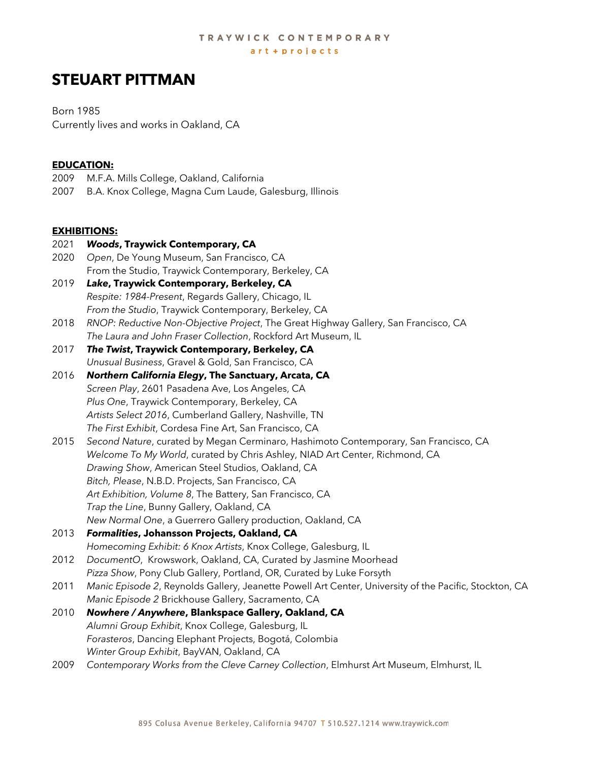# **STEUART PITTMAN**

Born 1985 Currently lives and works in Oakland, CA

#### **EDUCATION:**

- 2009 M.F.A. Mills College, Oakland, California
- 2007 B.A. Knox College, Magna Cum Laude, Galesburg, Illinois

#### **EXHIBITIONS:**

- 2021 *Woods***, Traywick Contemporary, CA** 2020 *Open*, De Young Museum, San Francisco, CA From the Studio, Traywick Contemporary, Berkeley, CA 2019 *Lake***, Traywick Contemporary, Berkeley, CA** *Respite: 1984-Present*, Regards Gallery, Chicago, IL
- *From the Studio*, Traywick Contemporary, Berkeley, CA
- 2018 *RNOP: Reductive Non-Objective Project*, The Great Highway Gallery, San Francisco, CA *The Laura and John Fraser Collection*, Rockford Art Museum, IL
- 2017 *The Twist***, Traywick Contemporary, Berkeley, CA** *Unusual Business*, Gravel & Gold, San Francisco, CA
- 2016 *Northern California Elegy***, The Sanctuary, Arcata, CA**  *Screen Play*, 2601 Pasadena Ave, Los Angeles, CA *Plus One*, Traywick Contemporary, Berkeley, CA *Artists Select 2016*, Cumberland Gallery, Nashville, TN *The First Exhibit*, Cordesa Fine Art, San Francisco, CA
- 2015 *Second Nature*, curated by Megan Cerminaro, Hashimoto Contemporary, San Francisco, CA *Welcome To My World*, curated by Chris Ashley, NIAD Art Center, Richmond, CA *Drawing Show*, American Steel Studios, Oakland, CA *Bitch, Please*, N.B.D. Projects, San Francisco, CA *Art Exhibition, Volume 8*, The Battery, San Francisco, CA *Trap the Line*, Bunny Gallery, Oakland, CA *New Normal One*, a Guerrero Gallery production, Oakland, CA
- 2013 *Formalities***, Johansson Projects, Oakland, CA** *Homecoming Exhibit: 6 Knox Artists*, Knox College, Galesburg, IL
- 2012 *DocumentO*, Krowswork, Oakland, CA, Curated by Jasmine Moorhead *Pizza Show*, Pony Club Gallery, Portland, OR, Curated by Luke Forsyth
- 2011 *Manic Episode 2*, Reynolds Gallery, Jeanette Powell Art Center, University of the Pacific, Stockton, CA *Manic Episode 2* Brickhouse Gallery, Sacramento, CA
- 2010 *Nowhere / Anywhere***, Blankspace Gallery, Oakland, CA** *Alumni Group Exhibit*, Knox College, Galesburg, IL *Forasteros*, Dancing Elephant Projects, Bogotá, Colombia *Winter Group Exhibit*, BayVAN, Oakland, CA
- 2009 *Contemporary Works from the Cleve Carney Collection*, Elmhurst Art Museum, Elmhurst, IL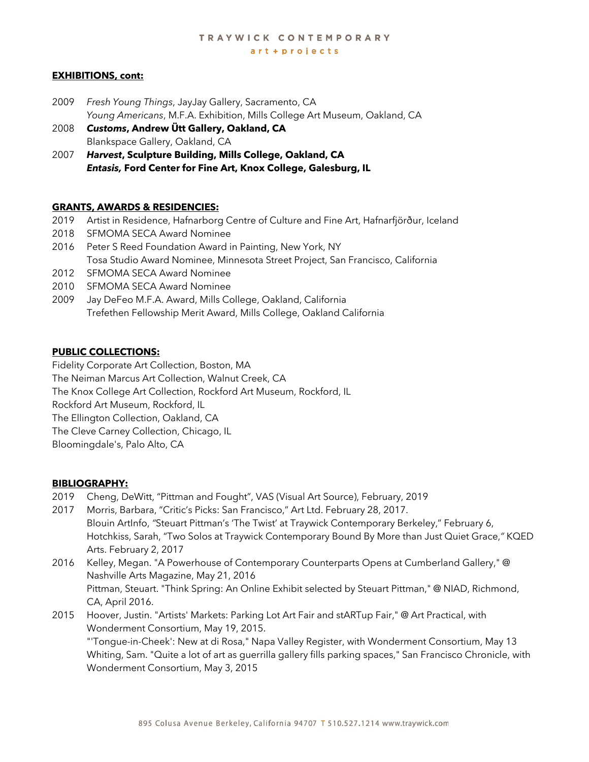# TRAYWICK CONTEMPORARY

art + projects

## **EXHIBITIONS, cont:**

- 2009 *Fresh Young Things*, JayJay Gallery, Sacramento, CA *Young Americans*, M.F.A. Exhibition, Mills College Art Museum, Oakland, CA
- 2008 *Customs***, Andrew Ütt Gallery, Oakland, CA** Blankspace Gallery, Oakland, CA
- 2007 *Harvest***, Sculpture Building, Mills College, Oakland, CA**  *Entasis,* **Ford Center for Fine Art, Knox College, Galesburg, IL**

## **GRANTS, AWARDS & RESIDENCIES:**

- 2019 Artist in Residence, Hafnarborg Centre of Culture and Fine Art, Hafnarfjörður, Iceland
- 2018 SFMOMA SECA Award Nominee
- 2016 Peter S Reed Foundation Award in Painting, New York, NY Tosa Studio Award Nominee, Minnesota Street Project, San Francisco, California
- 2012 SFMOMA SECA Award Nominee
- 2010 SFMOMA SECA Award Nominee
- 2009 Jay DeFeo M.F.A. Award, Mills College, Oakland, California Trefethen Fellowship Merit Award, Mills College, Oakland California

## **PUBLIC COLLECTIONS:**

Fidelity Corporate Art Collection, Boston, MA The Neiman Marcus Art Collection, Walnut Creek, CA The Knox College Art Collection, Rockford Art Museum, Rockford, IL Rockford Art Museum, Rockford, IL The Ellington Collection, Oakland, CA The Cleve Carney Collection, Chicago, IL Bloomingdale's, Palo Alto, CA

#### **BIBLIOGRAPHY:**

- 2019 Cheng, DeWitt, "Pittman and Fought", VAS (Visual Art Source), February, 2019
- 2017 Morris, Barbara, "Critic's Picks: San Francisco," Art Ltd. February 28, 2017. Blouin ArtInfo, *"*Steuart Pittman's 'The Twist' at Traywick Contemporary Berkeley," February 6, Hotchkiss, Sarah, "Two Solos at Traywick Contemporary Bound By More than Just Quiet Grace,*"* KQED Arts. February 2, 2017
- 2016 Kelley, Megan. "A Powerhouse of Contemporary Counterparts Opens at Cumberland Gallery," @ Nashville Arts Magazine, May 21, 2016 Pittman, Steuart. "Think Spring: An Online Exhibit selected by Steuart Pittman," @ NIAD, Richmond, CA, April 2016.
- 2015 Hoover, Justin. "Artists' Markets: Parking Lot Art Fair and stARTup Fair," @ Art Practical, with Wonderment Consortium, May 19, 2015.

"'Tongue-in-Cheek': New at di Rosa," Napa Valley Register, with Wonderment Consortium, May 13 Whiting, Sam. "Quite a lot of art as guerrilla gallery fills parking spaces," San Francisco Chronicle, with Wonderment Consortium, May 3, 2015